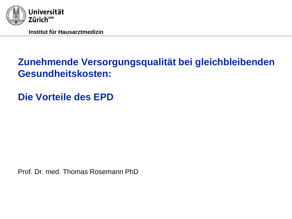

## **Zunehmende Versorgungsqualität bei gleichbleibenden Gesundheitskosten:**

**Die Vorteile des EPD**

Prof. Dr. med. Thomas Rosemann PhD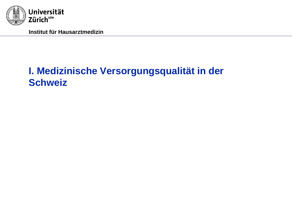

## **I. Medizinische Versorgungsqualität in der Schweiz**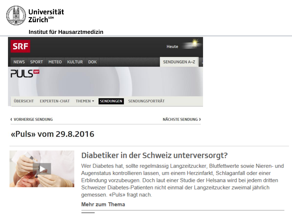

| <b>SRF</b>                 |              |                      |               |            |           |                 | <b>Heute</b>         |  |
|----------------------------|--------------|----------------------|---------------|------------|-----------|-----------------|----------------------|--|
| <b>NEWS</b>                | <b>SPORT</b> | <b>METEO</b>         | <b>KULTUR</b> | <b>DOK</b> |           |                 | <b>SENDUNGEN A-Z</b> |  |
| <b>PULS</b>                |              |                      |               |            |           |                 |                      |  |
| ÜBERSICHT                  |              | <b>EXPERTEN-CHAT</b> | THEMEN -      |            | SENDUNGEN | SENDUNGSPORTRÄT |                      |  |
| <b>( VORHERIGE SENDUNG</b> |              |                      |               |            |           |                 | NÄCHSTE SENDUNG >    |  |

### «Puls» vom 29.8.2016



### Diabetiker in der Schweiz unterversorgt?

Wer Diabetes hat, sollte regelmässig Langzeitzucker, Blutfettwerte sowie Nieren- und Augenstatus kontrollieren lassen, um einem Herzinfarkt, Schlaganfall oder einer Erblindung vorzubeugen. Doch laut einer Studie der Helsana wird bei jedem dritten Schweizer Diabetes-Patienten nicht einmal der Langzeitzucker zweimal jährlich gemessen. «Puls» fragt nach.

#### **Mehr zum Thema**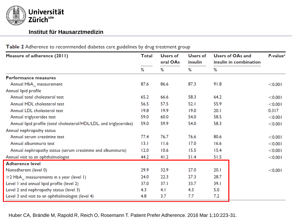

#### Users of OAs and Measure of adherence (2011) **Total Users of** Users of P-value<sup>a</sup> oral OAs insulin insulin in combination ℅ ℅ ℅ % Performance measures 87.6 87.3 91.8 Annual HbA<sub>1c</sub> measurement 86.6  $< 0.001$ Annual lipid profile Annual total cholesterol test 65.2 66.6 58.3 64.2  $< 0.001$ Annual HDL cholesterol test 57.5 55.9 56.5  $52.1$  $< 0.001$ Annual LDL cholesterol test  $19.8$  $19.9$  $19.0$  $20.1$  $0.317$ 58.5 Annual triglycerides test 59.0 60.0 54.0  $< 0.001$ 59.0 59.9 58.3 Annual lipid profile (total cholesterol/HDL/LDL, and triglycerides) 54.0  $< 0.001$ Annual nephropathy status 76.7 Annual serum creatinine test  $77.4$ 76.6 80.6  $< 0.001$ Annual albuminuria test  $13.1$  $11.6$  $17.0$  $16.6$  $< 0.001$  $10.6$ Annual nephropathy status (serum creatinine and albuminuria)  $12.0$  $15.5$  $15.4$  $< 0.001$ Annual visit to an ophthalmologist 44.2  $41.2$  $51.4$  $51.5$  $< 0.001$ **Adherence level** 29.9 32.9 27.0  $20.1$ Nonadherent (level 0)  $< 0.001$  $22.3$  $27.3$ 28.7  $\geq$ 2 HbA<sub>16</sub> measurements in a year (level 1) 24.0  $37.1$ Level 1 and annual lipid profile (level 2) 37.0 33.7 39. I Level 2 and nephropathy status (level 3)  $4.3$  $4.1$  $4.3$  $5.0$ Level 3 and visit to an ophthalmologist (level 4) 4.8  $3.7$  $7.7$  $7.2$

Table 2 Adherence to recommended diabetes care guidelines by drug treatment group

Huber CA, Brändle M, Rapold R, Reich O, Rosemann T. Patient Prefer Adherence. 2016 Mar 1;10:223-31.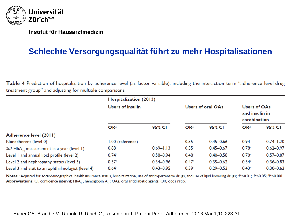

### **Schlechte Versorgungsqualität führt zu mehr Hospitalisationen**

Table 4 Prediction of hospitalization by adherence level (as factor variable), including the interaction term "adherence level-drug treatment group" and adjusting for multiple comparisons

|                                                            | Hospitalization (2013)  |               |                   |                   |                                                      |               |  |  |
|------------------------------------------------------------|-------------------------|---------------|-------------------|-------------------|------------------------------------------------------|---------------|--|--|
|                                                            | <b>Users of insulin</b> |               |                   | Users of oral OAs | <b>Users of OAs</b><br>and insulin in<br>combination |               |  |  |
|                                                            | OR <sup>a</sup>         | 95% CI        | OR <sup>a</sup>   | 95% CI            | OR <sup>a</sup>                                      | 95% CI        |  |  |
| Adherence level (2011)                                     |                         |               |                   |                   |                                                      |               |  |  |
| Nonadherent (level 0)                                      | 1.00 (reference)        |               | 0.55              | $0.45 - 0.66$     | 0.94                                                 | $0.74 - 1.20$ |  |  |
| $\geq$ 2 HbA <sub>1.</sub> measurement in a year (level 1) | 0.88                    | $0.69 - 1.13$ | 0.55 <sup>d</sup> | $0.45 - 0.67$     | 0.78c                                                | $0.62 - 0.97$ |  |  |
| Level 1 and annual lipid profile (level 2)                 | 0.74 <sup>b</sup>       | $0.58 - 0.94$ | 0.48 <sup>d</sup> | $0.40 - 0.58$     | 0.70 <sup>d</sup>                                    | $0.57 - 0.87$ |  |  |
| Level 2 and nephropathy status (level 3)                   | 0.57c                   | $0.34 - 0.96$ | 0.47 <sup>d</sup> | $0.35 - 0.62$     | 0.54 <sup>d</sup>                                    | $0.36 - 0.83$ |  |  |
| Level 3 and visit to an ophthalmologist (level 4)          | 0.64 <sup>c</sup>       | $0.43 - 0.95$ | 0.39 <sup>d</sup> | $0.29 - 0.53$     | 0.43 <sup>d</sup>                                    | $0.30 - 0.63$ |  |  |

Notes: <sup>3</sup>Adjusted for sociodemographics, health insurance status, hospitalization, use of antihypertensive drugs, and use of lipid lowering drugs; <sup>b</sup>P≤0.01; <sup>c</sup>P≤0.05; <sup>d</sup>P≤0.001. **Abbreviations:** CI, confidence interval; HbA<sub>L</sub>, hemoglobin A<sub>L</sub>; OAs, oral antidiabetic agents; OR, odds ratio.

Huber CA, Brändle M, Rapold R, Reich O, Rosemann T. Patient Prefer Adherence. 2016 Mar 1;10:223-31.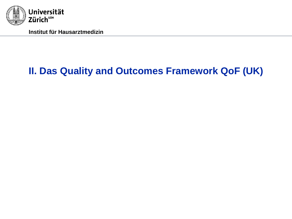

## **II. Das Quality and Outcomes Framework QoF (UK)**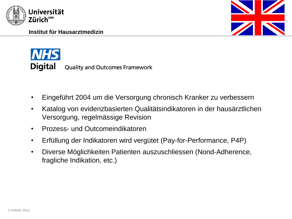





- Eingeführt 2004 um die Versorgung chronisch Kranker zu verbessern
- Katalog von evidenzbasierten Qualitätsindikatoren in der hausärztlichen Versorgung, regelmässige Revision
- Prozess- und Outcomeindikatoren
- Erfüllung der Indikatoren wird vergütet (Pay-for-Performance, P4P)
- Diverse Möglichkeiten Patienten auszuschliessen (Nond-Adherence, fragliche Indikation, etc.)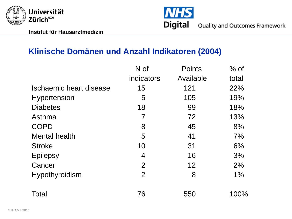



### **Klinische Domänen und Anzahl Indikatoren (2004)**

|                         | N of           | <b>Points</b> | $%$ of |
|-------------------------|----------------|---------------|--------|
|                         | indicators     | Available     | total  |
| Ischaemic heart disease | 15             | 121           | 22%    |
| <b>Hypertension</b>     | 5              | 105           | 19%    |
| <b>Diabetes</b>         | 18             | 99            | 18%    |
| Asthma                  | 7              | 72            | 13%    |
| <b>COPD</b>             | 8              | 45            | 8%     |
| <b>Mental health</b>    | 5              | 41            | 7%     |
| <b>Stroke</b>           | 10             | 31            | 6%     |
| <b>Epilepsy</b>         | 4              | 16            | 3%     |
| Cancer                  | $\overline{2}$ | 12            | 2%     |
| <b>Hypothyroidism</b>   | $\overline{2}$ | 8             | $1\%$  |
| Total                   | 76             | 550           | 100%   |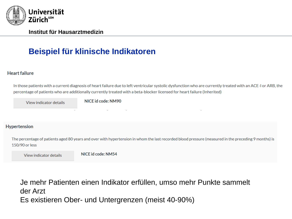

### **Beispiel für klinische Indikatoren**

#### **Heart failure**

In those patients with a current diagnosis of heart failure due to left ventricular systolic dysfunction who are currently treated with an ACE-I or ARB, the percentage of patients who are additionally currently treated with a beta-blocker licensed for heart failure (Inherited)

Figure 2: The percentage of patients with coronary heart disease with coronary heart disease with coronary heart disease whose whose with coronary heart disease with coronary and the coronary of the coronary of the coronar

#### Hypertension

The percentage of patients aged 80 years and over with hypertension in whom the last recorded blood pressure (measured in the preceding 9 months) is 150/90 or less

View indicator details

NICE id code: NM54

Je mehr Patienten einen Indikator erfüllen, umso mehr Punkte sammelt der Arzt Es existieren Ober- und Untergrenzen (meist 40-90%)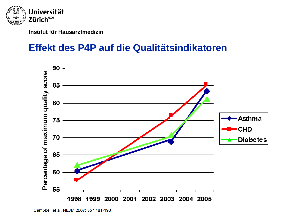

### **Effekt des P4P auf die Qualitätsindikatoren**

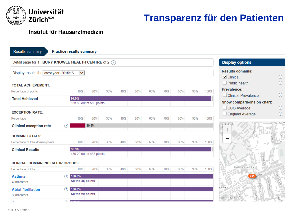

## **Transparenz für den Patienten**

#### **Institut für Hausarztmedizin**

| <b>Results summary</b><br><b>Practice results summary</b>  |                             |                          |     |     |     |     |     |                        |                                                |         |                                              |                        |
|------------------------------------------------------------|-----------------------------|--------------------------|-----|-----|-----|-----|-----|------------------------|------------------------------------------------|---------|----------------------------------------------|------------------------|
| Detail page for 1 : BURY KNOWLE HEALTH CENTRE of 2 $\circ$ |                             |                          |     |     |     |     |     | <b>Display options</b> |                                                |         |                                              |                        |
| Display results for latest year: 2015/16<br>$\checkmark$   |                             |                          |     |     |     |     |     |                        | <b>Results domains:</b><br>$\sqrt{ }$ Clinical | $\odot$ |                                              |                        |
| <b>TOTAL ACHIEVEMENT:</b>                                  |                             |                          |     |     |     |     |     |                        |                                                |         | $\Box$ Public health                         | $\circledR$            |
| Percentage of points                                       | 10%                         | 20%                      | 30% | 40% | 50% | 60% | 70% | 80%                    | 90%                                            | 100%    | Prevalence:<br>$\Box$ Clinical Prevalence    | $\odot$                |
| <b>Total Achieved</b>                                      | 99.0%                       | 553.50 out of 559 points |     |     |     |     |     |                        |                                                |         | Show comparisons on chart:                   |                        |
| <b>EXCEPTION RATE:</b>                                     |                             |                          |     |     |     |     |     |                        |                                                |         | $\Box$ CCG Average<br>$\Box$ England Average | $\odot$<br>$\circledR$ |
| Percentage                                                 | 10%                         | 20%                      | 30% | 40% | 50% | 60% | 70% | 80%                    | 90%                                            | 100%    |                                              |                        |
| <b>Clinical exception rate</b><br>?                        |                             | 10.8%                    |     |     |     |     |     |                        |                                                |         | John Radcliffe<br>╊                          |                        |
| <b>DOMAIN TOTALS:</b><br>Percentage of total domain points | 10%                         | 20%                      | 30% | 40% | 50% | 60% | 70% | 80%                    | 90%                                            | 100%    |                                              | NORTH-PL               |
|                                                            |                             |                          |     |     |     |     |     |                        |                                                |         | $-11$                                        |                        |
| <b>Clinical Results</b>                                    | 98.9%                       | 430.29 out of 435 points |     |     |     |     |     |                        |                                                |         | <b>REPHEN</b>                                |                        |
| <b>CLINICAL DOMAIN INDICATOR GROUPS:</b>                   |                             |                          |     |     |     |     |     |                        |                                                |         |                                              |                        |
| Percentage of total                                        | 10%                         | 20%                      | 30% | 40% | 50% | 60% | 70% | 80%                    | 90%                                            | 100%    | The Manor Hospital                           |                        |
| <b>Asthma</b><br><u>(?)</u><br>4 indicators                | 100.0%<br>All the 45 points |                          |     |     |     |     |     |                        |                                                |         |                                              | <b>WINDAMI ROAD</b>    |
| $\left( 2\right)$<br><b>Atrial fibrillation</b>            | 100.0%                      |                          |     |     |     |     |     |                        |                                                |         | e Albany                                     |                        |
| 3 indicators                                               | All the 29 points           |                          |     |     |     |     |     |                        |                                                |         | <b>HSTREET</b><br>Napier House               |                        |
| A                                                          |                             |                          |     |     |     |     |     |                        |                                                |         |                                              | FORTO                  |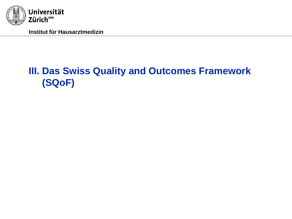

## **III. Das Swiss Quality and Outcomes Framework (SQoF)**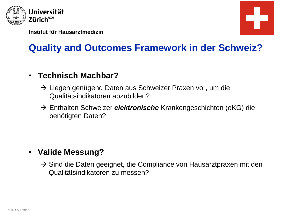



# **Quality and Outcomes Framework in der Schweiz?**

### • **Technisch Machbar?**

- $\rightarrow$  Liegen genügend Daten aus Schweizer Praxen vor, um die Qualitätsindikatoren abzubilden?
- Enthalten Schweizer *elektronische* Krankengeschichten (eKG) die benötigten Daten?

### • **Valide Messung?**

 $\rightarrow$  Sind die Daten geeignet, die Compliance von Hausarztpraxen mit den Qualitätsindikatoren zu messen?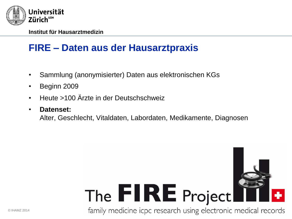

## **FIRE – Daten aus der Hausarztpraxis**

- Sammlung (anonymisierter) Daten aus elektronischen KGs
- Beginn 2009
- Heute >100 Ärzte in der Deutschschweiz
- **Datenset:**

Alter, Geschlecht, Vitaldaten, Labordaten, Medikamente, Diagnosen

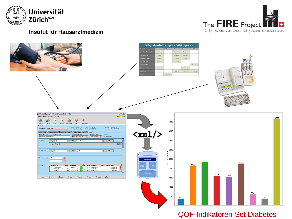





QOF-Indikatoren-Set Diabetes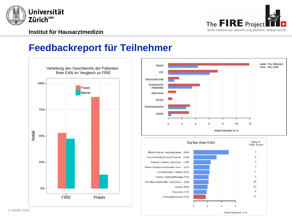

### **Feedbackreport für Teilnehmer**



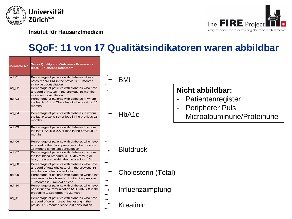



## **SQoF: 11 von 17 Qualitätsindikatoren waren abbildbar**

| <b>Indicator No.</b> | <b>Swiss Quality and Outcomes Framework</b><br>(SQOF) diabetes indicators                                                                  |                            |                |                                             |
|----------------------|--------------------------------------------------------------------------------------------------------------------------------------------|----------------------------|----------------|---------------------------------------------|
| $Ind$ 01             | Percentage of patients with diabetes whose<br>notes record BMI in the previous 15 months<br>since last consultation                        | BMI                        |                |                                             |
| $Ind_02$             | Percentage of patients with diabetes who have<br>a record of HbA1c in the previous 15 months<br>since last consultation                    |                            |                | Nicht abbildbar:                            |
| $Ind_03$             | Percentage of patients with diabetes in whom<br>the last HbA1c is 7% or less in the previous 15<br>months                                  |                            |                | Patientenregister<br><b>Peripherer Puls</b> |
| Ind $04$             | Percentage of patients with diabetes in whom<br>the last HbA1c is 8% or less in the previous 15<br>months                                  | HbA <sub>1</sub> c         | $\blacksquare$ | Microalbuminurie/Proteinurie                |
| $Ind_05$             | Percentage of patients with diabetes in whom<br>the last HbA1c is 9% or less in the previous 15<br>months                                  |                            |                |                                             |
| $Ind_06$             | Percentage of patients with diabetes who have<br>a record of the blood pressure in the previous<br>15 months since last consultation       | <b>Blutdruck</b>           |                |                                             |
| $Ind_0$              | Percentage of patients with diabetes in whom<br>the last blood pressure is 145/85 mmHq or<br>less, measured within the the previous 15     |                            |                |                                             |
| Ind 08               | Percentage of patients with diabetes who have<br>a record of total cholesterol in the previous 15<br>months since last consultation        | <b>Cholesterin (Total)</b> |                |                                             |
| $Ind_09$             | Percentage of patients with diabetes whose last<br>measured total cholesterol within the previous<br>15 months is 5 mmol/l or less         |                            |                |                                             |
| $Ind_10$             | Percentage of patients with diabetes who have<br>had influenza immunization (ATC J07BB) in the<br>preceding 1 September to 31 March        | Influenzaimpfung           |                |                                             |
| Ind $11$             | Percentage of patients with diabetes who have<br>a record of serum creatinine testing in the<br>previous 15 months since last consultation | Kreatinin                  |                |                                             |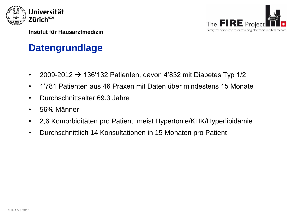



## **Datengrundlage**

- 2009-2012  $\rightarrow$  136'132 Patienten, davon 4'832 mit Diabetes Typ 1/2
- 1'781 Patienten aus 46 Praxen mit Daten über mindestens 15 Monate
- Durchschnittsalter 69.3 Jahre
- 56% Männer
- 2,6 Komorbiditäten pro Patient, meist Hypertonie/KHK/Hyperlipidämie
- Durchschnittlich 14 Konsultationen in 15 Monaten pro Patient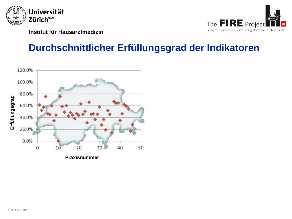



## **Durchschnittlicher Erfüllungsgrad der Indikatoren**

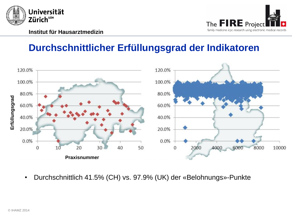

## **Durchschnittlicher Erfüllungsgrad der Indikatoren**



• Durchschnittlich 41.5% (CH) vs. 97.9% (UK) der «Belohnungs»-Punkte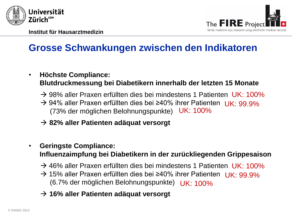



## **Grosse Schwankungen zwischen den Indikatoren**

- **Höchste Compliance: Blutdruckmessung bei Diabetikern innerhalb der letzten 15 Monate**
	- → 98% aller Praxen erfüllten dies bei mindestens 1 Patienten UK: 100%
	- → 94% aller Praxen erfüllten dies bei ≥40% ihrer Patienten UK: 99.9% (73% der möglichen Belohnungspunkte) UK: 100%
	- **82% aller Patienten adäquat versorgt**
- **Geringste Compliance: Influenzaimpfung bei Diabetikern in der zurückliegenden Grippesaison**
	- → 46% aller Praxen erfüllten dies bei mindestens 1 Patienten UK: 100%
	- → 15% aller Praxen erfüllten dies bei ≥40% ihrer Patienten UK: 99.9% (6.7% der möglichen Belohnungspunkte) UK: 100%
	- **16% aller Patienten adäquat versorgt**